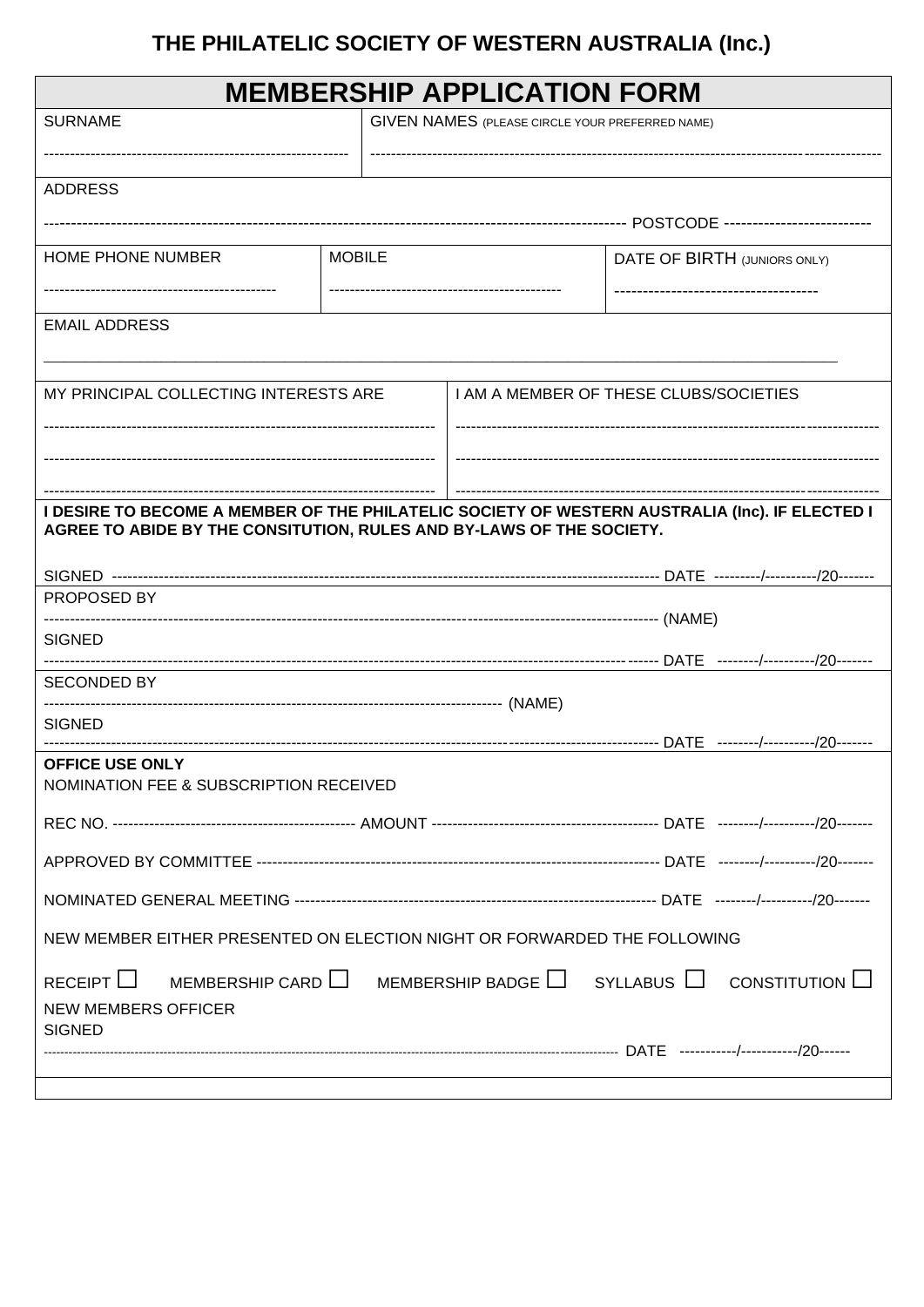# THE PHILATELIC SOCIETY OF WESTERN AUSTRALIA (Inc.)

| <b>MEMBERSHIP APPLICATION FORM</b>                                                                                                                                     |                                        |                                                        |                              |                                                                                    |  |
|------------------------------------------------------------------------------------------------------------------------------------------------------------------------|----------------------------------------|--------------------------------------------------------|------------------------------|------------------------------------------------------------------------------------|--|
| <b>SURNAME</b>                                                                                                                                                         |                                        | <b>GIVEN NAMES (PLEASE CIRCLE YOUR PREFERRED NAME)</b> |                              |                                                                                    |  |
| <b>ADDRESS</b>                                                                                                                                                         |                                        |                                                        |                              |                                                                                    |  |
|                                                                                                                                                                        |                                        |                                                        |                              |                                                                                    |  |
| <b>HOME PHONE NUMBER</b>                                                                                                                                               | <b>MOBILE</b>                          |                                                        | DATE OF BIRTH (JUNIORS ONLY) |                                                                                    |  |
|                                                                                                                                                                        |                                        |                                                        |                              |                                                                                    |  |
| <b>EMAIL ADDRESS</b>                                                                                                                                                   |                                        |                                                        |                              |                                                                                    |  |
| MY PRINCIPAL COLLECTING INTERESTS ARE                                                                                                                                  | I AM A MEMBER OF THESE CLUBS/SOCIETIES |                                                        |                              |                                                                                    |  |
|                                                                                                                                                                        |                                        |                                                        |                              |                                                                                    |  |
|                                                                                                                                                                        |                                        |                                                        |                              |                                                                                    |  |
|                                                                                                                                                                        |                                        |                                                        |                              |                                                                                    |  |
| I DESIRE TO BECOME A MEMBER OF THE PHILATELIC SOCIETY OF WESTERN AUSTRALIA (Inc). IF ELECTED I<br>AGREE TO ABIDE BY THE CONSITUTION, RULES AND BY-LAWS OF THE SOCIETY. |                                        |                                                        |                              |                                                                                    |  |
|                                                                                                                                                                        |                                        |                                                        |                              |                                                                                    |  |
| PROPOSED BY                                                                                                                                                            |                                        |                                                        |                              |                                                                                    |  |
| <b>SIGNED</b>                                                                                                                                                          |                                        |                                                        |                              |                                                                                    |  |
| <b>SECONDED BY</b>                                                                                                                                                     |                                        |                                                        |                              |                                                                                    |  |
| <b>SIGNED</b>                                                                                                                                                          |                                        |                                                        |                              |                                                                                    |  |
|                                                                                                                                                                        |                                        |                                                        |                              |                                                                                    |  |
| <b>OFFICE USE ONLY</b><br>NOMINATION FEE & SUBSCRIPTION RECEIVED                                                                                                       |                                        |                                                        |                              |                                                                                    |  |
|                                                                                                                                                                        |                                        |                                                        |                              |                                                                                    |  |
|                                                                                                                                                                        |                                        |                                                        |                              |                                                                                    |  |
|                                                                                                                                                                        |                                        |                                                        |                              |                                                                                    |  |
| NEW MEMBER EITHER PRESENTED ON ELECTION NIGHT OR FORWARDED THE FOLLOWING                                                                                               |                                        |                                                        |                              |                                                                                    |  |
| RECEIPT $\Box$<br><b>NEW MEMBERS OFFICER</b>                                                                                                                           |                                        |                                                        |                              | MEMBERSHIP CARD $\Box$ MEMBERSHIP BADGE $\Box$ SYLLABUS $\Box$ CONSTITUTION $\Box$ |  |
| <b>SIGNED</b>                                                                                                                                                          |                                        |                                                        |                              |                                                                                    |  |
|                                                                                                                                                                        |                                        |                                                        |                              |                                                                                    |  |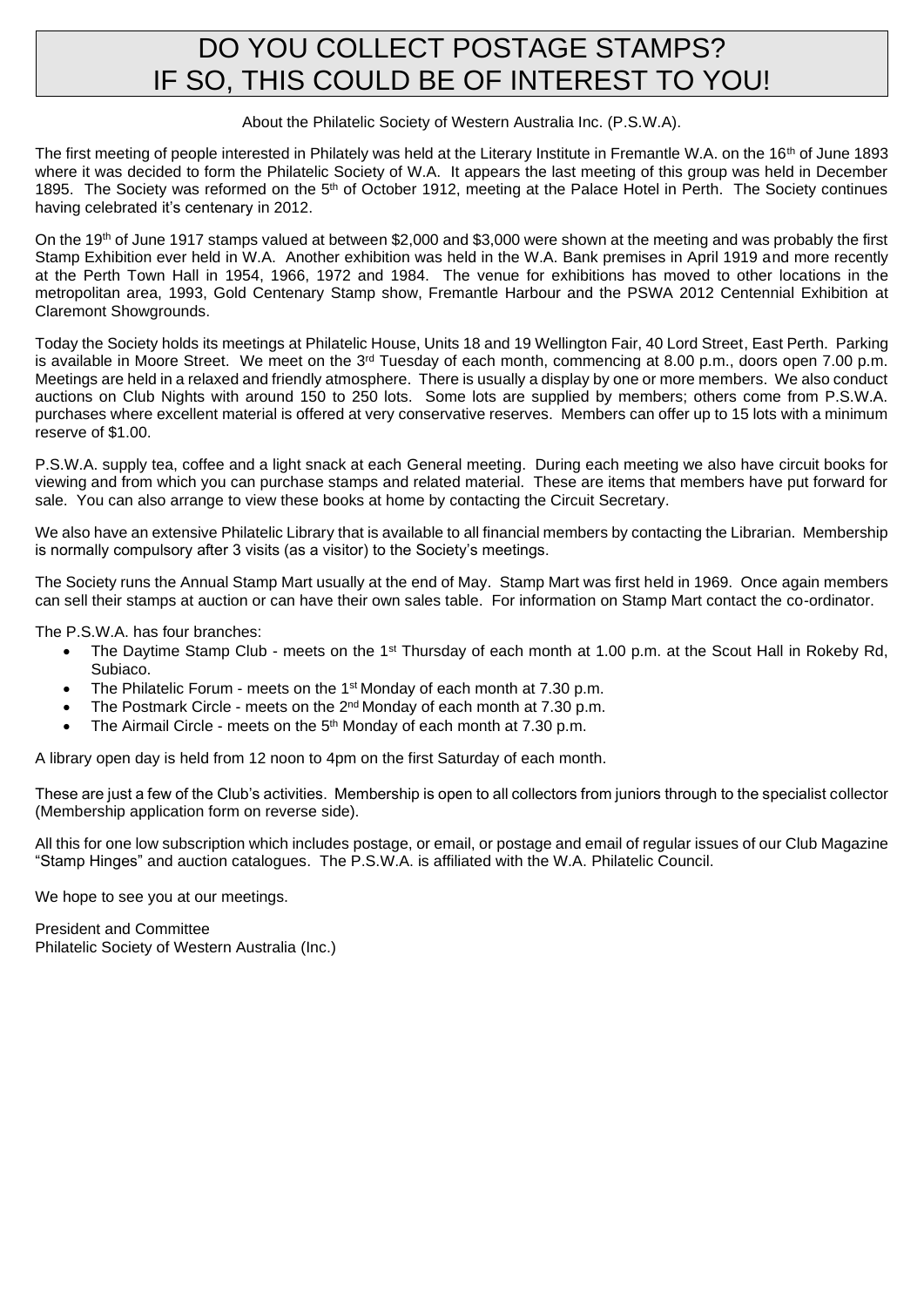### DO YOU COLLECT POSTAGE STAMPS? IF SO, THIS COULD BE OF INTEREST TO YOU!

#### About the Philatelic Society of Western Australia Inc. (P.S.W.A).

The first meeting of people interested in Philately was held at the Literary Institute in Fremantle W.A. on the 16<sup>th</sup> of June 1893 where it was decided to form the Philatelic Society of W.A. It appears the last meeting of this group was held in December 1895. The Society was reformed on the 5<sup>th</sup> of October 1912, meeting at the Palace Hotel in Perth. The Society continues having celebrated it's centenary in 2012.

On the 19th of June 1917 stamps valued at between \$2,000 and \$3,000 were shown at the meeting and was probably the first Stamp Exhibition ever held in W.A. Another exhibition was held in the W.A. Bank premises in April 1919 and more recently at the Perth Town Hall in 1954, 1966, 1972 and 1984. The venue for exhibitions has moved to other locations in the metropolitan area, 1993, Gold Centenary Stamp show, Fremantle Harbour and the PSWA 2012 Centennial Exhibition at Claremont Showgrounds.

Today the Society holds its meetings at Philatelic House, Units 18 and 19 Wellington Fair, 40 Lord Street, East Perth. Parking is available in Moore Street. We meet on the  $3^{rd}$  Tuesday of each month, commencing at 8.00 p.m., doors open 7.00 p.m. Meetings are held in a relaxed and friendly atmosphere. There is usually a display by one or more members. We also conduct auctions on Club Nights with around 150 to 250 lots. Some lots are supplied by members; others come from P.S.W.A. purchases where excellent material is offered at very conservative reserves. Members can offer up to 15 lots with a minimum reserve of \$1.00.

P.S.W.A. supply tea, coffee and a light snack at each General meeting. During each meeting we also have circuit books for viewing and from which you can purchase stamps and related material. These are items that members have put forward for sale. You can also arrange to view these books at home by contacting the Circuit Secretary.

We also have an extensive Philatelic Library that is available to all financial members by contacting the Librarian. Membership is normally compulsory after 3 visits (as a visitor) to the Society's meetings.

The Society runs the Annual Stamp Mart usually at the end of May. Stamp Mart was first held in 1969. Once again members can sell their stamps at auction or can have their own sales table. For information on Stamp Mart contact the co-ordinator.

The P.S.W.A. has four branches:

- The Daytime Stamp Club meets on the 1<sup>st</sup> Thursday of each month at 1.00 p.m. at the Scout Hall in Rokeby Rd, Subiaco.
- The Philatelic Forum meets on the 1<sup>st</sup> Monday of each month at 7.30 p.m.
- The Postmark Circle meets on the  $2^{nd}$  Monday of each month at 7.30 p.m.
- The Airmail Circle meets on the 5<sup>th</sup> Monday of each month at 7.30 p.m.

A library open day is held from 12 noon to 4pm on the first Saturday of each month.

These are just a few of the Club's activities. Membership is open to all collectors from juniors through to the specialist collector (Membership application form on reverse side).

All this for one low subscription which includes postage, or email, or postage and email of regular issues of our Club Magazine "Stamp Hinges" and auction catalogues. The P.S.W.A. is affiliated with the W.A. Philatelic Council.

We hope to see you at our meetings.

President and Committee Philatelic Society of Western Australia (Inc.)